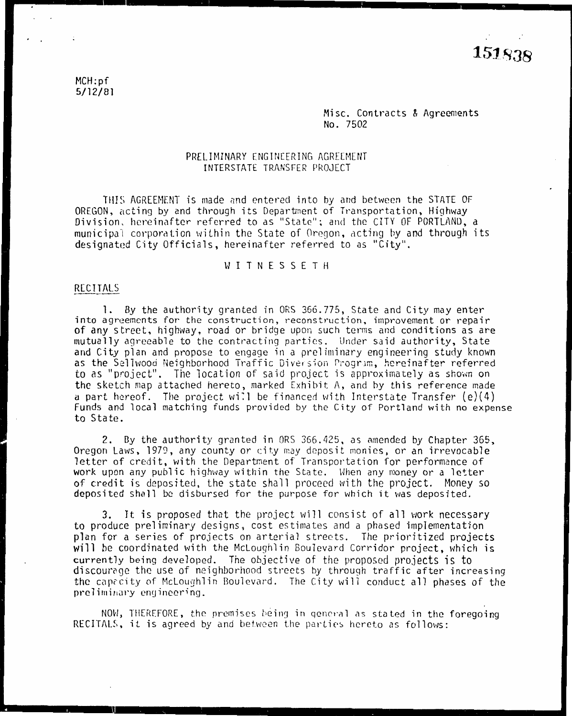MCH:pf 5/12/81

> Misc. Contracts & Agreements No. 7502

#### **PRELIMINARY** ENGINEERING AGREEMENT **INTERSTATE** TRANSFER PROJECT

THIS AGREEMENT is made and entered into by and between the STATE OF OREGON, acting by and through its Department of Transportation, Highway Division, hereinafter referred to as "State"; and the CITY OF PORTLAND, a municipal corporation within the State of Oregon, acting by and through its designated City Officials, hereinafter referred to as "City".

### W I T N E S S E T H

#### RECITALS -----

1. By the authority granted in ORS 366.775, State and City may enter into agreements for the construction, reconstruction, improvement or repair of any street, highway, road or bridge upon such terms and conditions as are mutually agreeable to the contracting parties. Under said authority, State and City plan and propose to engage in a preliminary engineering study known as the Sellwood Neighborhood Traffic Diversion Program, hereinafter referred to as "project". The location of said project is approximately as shown on the sketch map attached hereto, marked Exhibit  $A$ , and by this reference made a part hereof. The project will be financed with Interstate Transfer (e)(4) Funds and local matching funds provided by the City of Portland with no expense to State.

2. By the authority granted in ORS 366.425, as amended by Chapter 365, Oregon Laws, 1979, any county or city may deposit monies, or an irrevocable letter of credit, with the Department of Transportation for performance of work upon any public highway within the State. When any money or a letter of credit is deposited, the state shall proceed with the project. Money so deposited shall be disbursed for the purpose for which it was deposited.

3. It is proposed that the project will consist of all work necessary to produce preliminary designs, cost estimates and a phased implementation <sup>p</sup>lan for a series of projects on arterial streets. The prioritized projects will be coordinated with the Mcloughlin Boulevard Corridor project, which is currently being developed. The objective of the proposed projects is to discourage the use of neighborhood streets by through traffic after increasing the caprcity of Mclou9hlin Boulevard. The City will conduct all phases of the preliminary engineering.

NOW, THEREFORE, the premises being in general as stated in the foregoing RECITALS, it is agreed by and between the parties hereto as follows: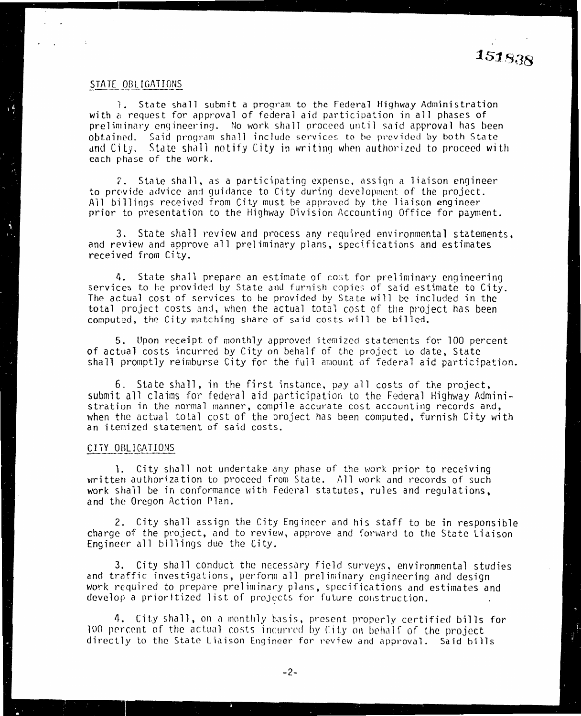#### STATE OBLIGATIONS

 $\sim$  1

l. State shall submit a program to the Federal Highway Administration **with** a request for approval of federal aid participation in all phases of preliminary engineering. No work shall proceed until said approval has been  $\,$ obtained. Said program shall include services to be provided by both State and City. State shall notify City in writing when authorized to proceed with each phase of the work.

2. State shall, as a participating expense, assign a liaison engineerto provide advice and guidance to City during development of the project. All billings received from City must be approved by the liaison engineer prior to presentation to the Highway Division Accounting Office for payment.

3. State shall review and process any required environmental statements, and review and approve all preliminary plans, specifications and estimates received from City.

**4.** State shall prepare an estimate of cost for preliminary engineering  $\overline{\phantom{a}}$ services to be provided by State and furnish copies of said estimate to City. The actual cost of services to be provided by State will be included in the total project costs and, when the actual total cost of the project has been computed, the City matching share of said costs will be billed.

5. Upon receipt of monthly approved itemized statements for 100 percent of actual costs incurred by City on behalf of the project to date, State shall promptly reimburse City for the full amount of federal aid participation.

6. State shall, in the first instance, pay all costs of the project, submit all claims for federal aid participation to the Federal Highway Administration in the normal manner, compile accurate cost accounting records and, when the actual total cost of the project has been computed, furnish City with an itenized statement of said costs.

#### CITY OBLIGATIONS

1. City shall not undertake any phase of the work prior to rece1v1ng written authorization to proceed from State.  $\land$ ll work and records of such  $\;$ work shall be in conformance with Federal statutes, rules and regulations, and the Oregon Action Plan.

2. City shall assign the City Engineer and his staff to be in responsible charge of the project, and to review, approve and forward to the State Liaison Engineer all billings due the City.

3. City shall conduct the necessary field surveys, environmental studies and traffic investigations, perform all preliminary engineering and design work required to prepare preliminary plans, specifications and estimates and develop a prioritized list of projects for future construction.  $\,$ 

4. City shall, on a monthly basis, present properly certified bills for 100 percent of the actual costs incurred by City on behalf of the project directly to the State Liaison Engineer for revie\v and approval. Said bills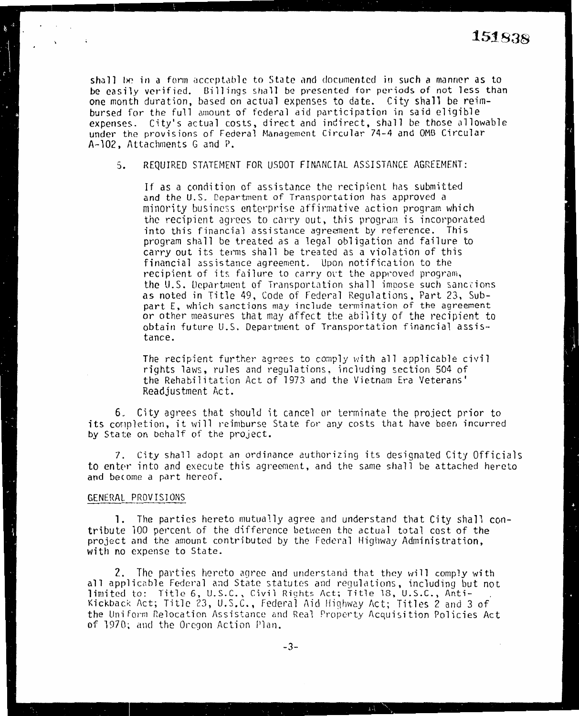shall be in a form acceptable to State and documented in such a manner as to be easily verified. Billings shall be presented for periods of not less than one month duration, based on actual expenses to date. City shall be reimbursed for the full amount of federal aid participation in said eligible expenses. City's actual costs, direct and indirect, shall be those allowable under the provisions of Federal Management Circular 74-4 and 0MB Circular A-102, Attachments G and P.

5. REQUIRED STATEMENT FOR USDOT FINANCIAL ASSISTANCE AGREEMENT:

If as a condition of assistance the recipient has submitted and the U.S. Department of Transportation has approved a minority business enterprise affirmative action program which the recipient agrees to carry out, this program is incorporated into this financial assistance agreement by reference. This program shall be treated as a legal obligation and failure to carry out its terms shall be treated as a violation of this financial assistance agreement. Upon notification to the recipient of its failure to carry out the approved program, the U.S. Department of Transportation shall impose such sanctions as noted in Title 49, Code of Federal Regulations, Part 23, Subpart E, which sanctions may include termination of the agreement or other measures that may affect the ability of the recipient to obtain future U.S. Department of Transportation financial assis- tance.

The recipient further agrees to comply with all applicable civil rights laws, rules and regulations, including section 504 of the Rehabilitation Act of 1973 and the Vietnam Era Veterans' Readjustment Act.

6. City agrees that should it cancel or terminate the project prior to its completion, it will reimburse State for any costs that have been incurred by State on behalf of the project.

7. City shall adopt an ordinance authorizing its designated City Officials to enter into and execute this agreement, and the same shall be attached hereto and become a part hereof.

#### GENERAL PROVISIONS

 $\Delta\phi=0.01$  .

l. The parties hereto mutually agree and understand that City shall contribute 100 percent of the difference between the actual total cost of the project and the amount contributed by the Federal Highway Administration, with no expense to State.

2. The parties hereto agree and understand that they will comp1y with all applicable Federal and State statutes and requlations, including but not limited to: Title 6, U.S.C. Civil Riqhts Act; Title 18, U.S.C., Anti-Kickback Act; Title 23, U.S.C., Federa1 Aid ltighway Act; Titles 2 and 3 of the Uniform Relocation Assistance and Real Property Acquisition Policies Act of 1970; and the Oregon Action Plan.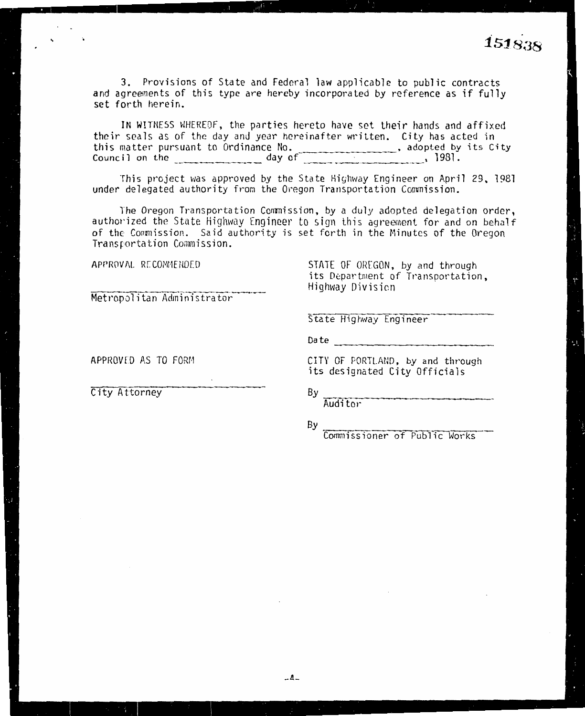$1510$ 

3. Provisions of State and Federal law applicable to public contracts and agreements of this type are hereby incorporated by reference as if fully set forth herein.

IN WITNESS WHEREOF, the parties hereto have set their hands and affixed their seals as of the day and year hereinafter written. City has acted in this matter pursuant to Ordinance No.<br>Council on the day of 1981.

This project was approved by the State Highway Engineer on April 29, 1981 under delegated authority from the Oregon Transportation Commission.

The Oregon Transportation Commission, by a duly adopted delegation order. authorized the State Highway Engineer to sign this agreement for and on behalf of the Commission. Said authority is set forth in the Minutes of the Oregon Transportation Commission.

APPROVAL RECOMMENDED

STATE OF OREGON, by and through its Department of Transportation. Highway Division

Metropolitan Administrator

State Highway Engineer

Date and the contract of the contract of the contract of the contract of the contract of the contract of the contract of the contract of the contract of the contract of the contract of the contract of the contract of the c

APPROVED AS TO FORM

City Attorney

CITY OF PORTLAND, by and through its designated City Officials

.......<br>Auditor

By

Bγ

Commissioner of Public Works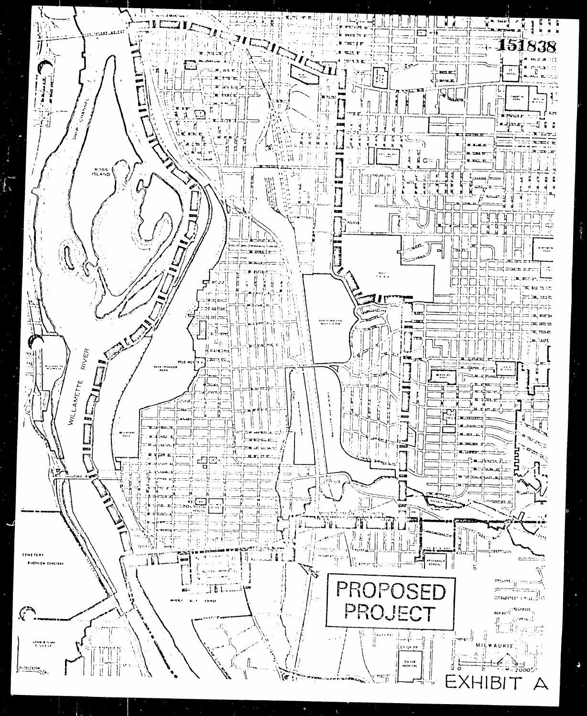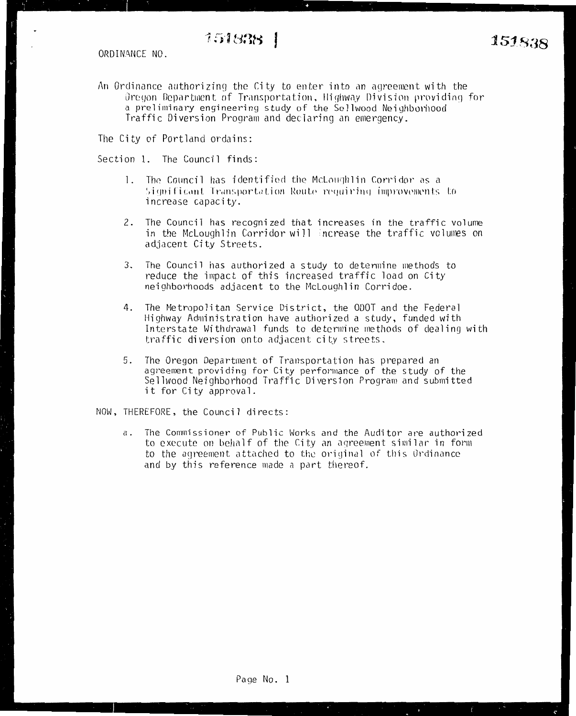An Ordinance authorizing the City to enter into an agreement with the Oregon Department of Transportation, Highway Division providing for a preliminary engineering study of the Sellwood Neighborhood Traffic Diversion Program and declaring an emergency.

The City of Portland ordains:

Section 1. The Council finds:

- 1. The Council has identified the McLoughlin Corridor as a Significant Transportation Route requiring improvements to increase capacity.
- 2. The Council has recognized that increases in the traffic volume in the McLoughlin Corridor will increase the traffic volumes on adjacent City Streets.
- 3. The Council has authorized a study to determine methods to reduce the impact of this increased traffic load on City neighborhoods adjacent to the McLoughlin Corridoe.
- 4. The Metropolitan Service District, the ODOT and the Federal Highway Administration have authorized a study, funded with Interstate Withdrawal funds to determine methods of dealing with traffic diversion onto adjacent city streets.
- The Oregon Department of Transportation has prepared an 5. agreement providing for City performance of the study of the Sellwood Neighborhood Traffic Diversion Program and submitted it for City approval.

NOW, THEREFORE, the Council directs:

The Commissioner of Public Works and the Auditor are authorized а. to execute on behalf of the City an agreement similar in form to the agreement attached to the original of this Ordinance and by this reference made a part thereof.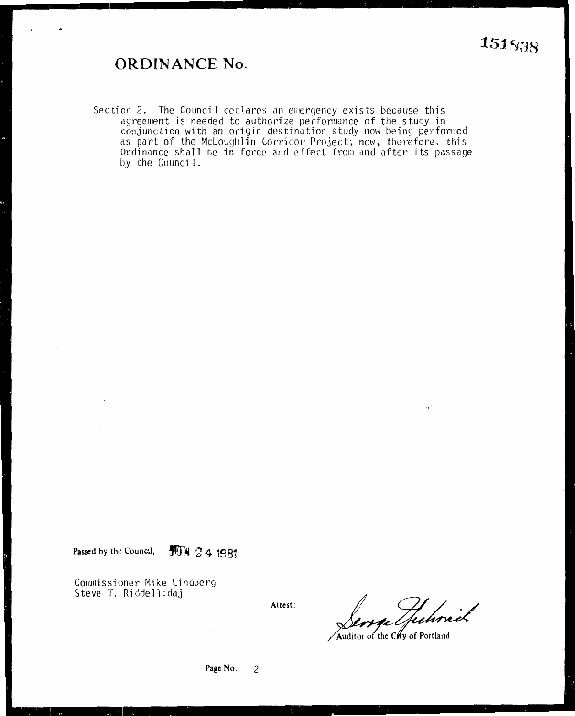## **ORDINANCE No.**

Section 2. The Council declares an emergency exists because this agreement is needed to authorize performance of the study in conjunction with an origin destination study now being performed as part of the McLoughlin Corridor Project; now, therefore, this Ordinance shall be in force and effect from and after its passage by the Council.

**Passed by th•! Council, JljTf 2 4 19 81** 

Commissioner Mike Lindberg Steve T. Riddell:daj

**Attest:** 

Juhnik

Auditor of the Chy of Portland

**Page No.** 2